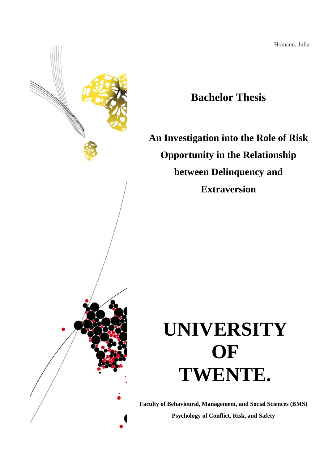Homann, Julia



# **Bachelor Thesis**

**An Investigation into the Role of Risk Opportunity in the Relationship between Delinquency and Extraversion**

# **UNIVERSITY OF TWENTE.**

**Faculty of Behavioural, Management, and Social Sciences (BMS) Psychology of Conflict, Risk, and Safety**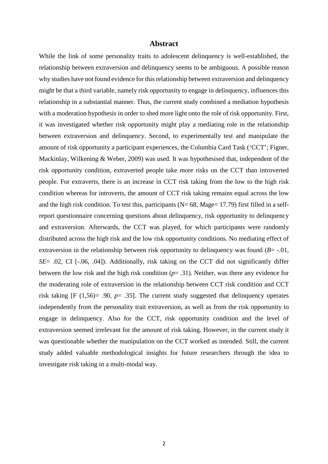# **Abstract**

While the link of some personality traits to adolescent delinquency is well-established, the relationship between extraversion and delinquency seems to be ambiguous. A possible reason why studies have not found evidence for this relationship between extraversion and delinquency might be that a third variable, namely risk opportunity to engage in delinquency, influences this relationship in a substantial manner. Thus, the current study combined a mediation hypothesis with a moderation hypothesis in order to shed more light onto the role of risk opportunity. First, it was investigated whether risk opportunity might play a mediating role in the relationship between extraversion and delinquency. Second, to experimentally test and manipulate the amount of risk opportunity a participant experiences, the Columbia Card Task ('CCT'; Figner, Mackinlay, Wilkening & Weber, 2009) was used. It was hypothesised that, independent of the risk opportunity condition, extraverted people take more risks on the CCT than introverted people. For extraverts, there is an increase in CCT risk taking from the low to the high risk condition whereas for introverts, the amount of CCT risk taking remains equal across the low and the high risk condition. To test this, participants (N= 68, *Mage*= 17.79) first filled in a selfreport questionnaire concerning questions about delinquency, risk opportunity to delinquency and extraversion. Afterwards, the CCT was played, for which participants were randomly distributed across the high risk and the low risk opportunity conditions. No mediating effect of extraversion in the relationship between risk opportunity to delinquency was found  $(B = -0.01)$ , *SE*= .02, CI [-.06, .04]). Additionally, risk taking on the CCT did not significantly differ between the low risk and the high risk condition (*p*= .31). Neither, was there any evidence for the moderating role of extraversion in the relationship between CCT risk condition and CCT risk taking [F (1,56)= .90, *p*= .35]. The current study suggested that delinquency operates independently from the personality trait extraversion, as well as from the risk opportunity to engage in delinquency. Also for the CCT, risk opportunity condition and the level of extraversion seemed irrelevant for the amount of risk taking. However, in the current study it was questionable whether the manipulation on the CCT worked as intended. Still, the current study added valuable methodological insights for future researchers through the idea to investigate risk taking in a multi-modal way.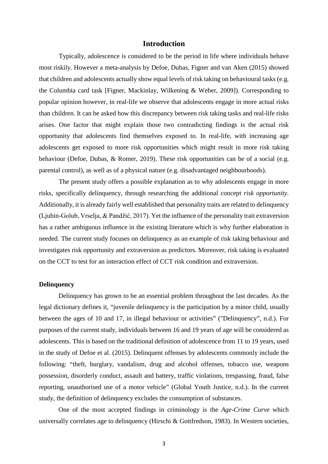# **Introduction**

Typically, adolescence is considered to be the period in life where individuals behave most riskily. However a meta-analysis by Defoe, Dubas, Figner and van Aken (2015) showed that children and adolescents actually show equal levels of risk taking on behavioural tasks (e.g. the Columbia card task [Figner, Mackinlay, Wilkening & Weber, 2009]). Corresponding to popular opinion however, in real-life we observe that adolescents engage in more actual risks than children. It can be asked how this discrepancy between risk taking tasks and real-life risks arises. One factor that might explain those two contradicting findings is the actual risk opportunity that adolescents find themselves exposed to. In real-life, with increasing age adolescents get exposed to more risk opportunities which might result in more risk taking behaviour (Defoe, Dubas, & Romer, 2019). These risk opportunities can be of a social (e.g. parental control), as well as of a physical nature (e.g. disadvantaged neighbourhoods).

The present study offers a possible explanation as to why adolescents engage in more risks, specifically delinquency, through researching the additional concept *risk opportunity*. Additionally, it is already fairly well established that personality traits are related to delinquency (Ljubin-Golub, Vrselja, & Pandžić, 2017). Yet the influence of the personality trait extraversion has a rather ambiguous influence in the existing literature which is why further elaboration is needed. The current study focuses on delinquency as an example of risk taking behaviour and investigates risk opportunity and extraversion as predictors. Moreover, risk taking is evaluated on the CCT to test for an interaction effect of CCT risk condition and extraversion.

#### **Delinquency**

Delinquency has grown to be an essential problem throughout the last decades. As the legal dictionary defines it, "juvenile delinquency is the participation by a minor child, usually between the ages of 10 and 17, in illegal behaviour or activities" ("Delinquency", n.d.). For purposes of the current study, individuals between 16 and 19 years of age will be considered as adolescents. This is based on the traditional definition of adolescence from 11 to 19 years, used in the study of Defoe et al. (2015). Delinquent offenses by adolescents commonly include the following: "theft, burglary, vandalism, drug and alcohol offenses, tobacco use, weapons possession, disorderly conduct, assault and battery, traffic violations, trespassing, fraud, false reporting, unauthorised use of a motor vehicle" (Global Youth Justice, n.d.). In the current study, the definition of delinquency excludes the consumption of substances.

One of the most accepted findings in criminology is the *Age-Crime Curve* which universally correlates age to delinquency (Hirschi & Gottfredson, 1983). In Western societies,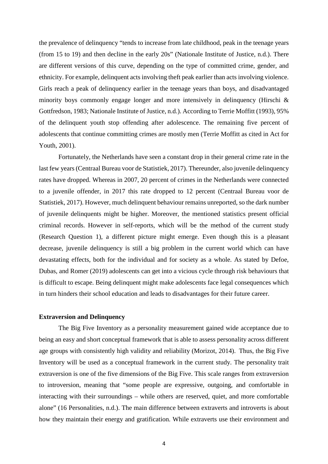the prevalence of delinquency "tends to increase from late childhood, peak in the teenage years (from 15 to 19) and then decline in the early 20s" (Nationale Institute of Justice, n.d.). There are different versions of this curve, depending on the type of committed crime, gender, and ethnicity. For example, delinquent acts involving theft peak earlier than acts involving violence. Girls reach a peak of delinquency earlier in the teenage years than boys, and disadvantaged minority boys commonly engage longer and more intensively in delinquency (Hirschi & Gottfredson, 1983; Nationale Institute of Justice, n.d.). According to Terrie Moffitt (1993), 95% of the delinquent youth stop offending after adolescence. The remaining five percent of adolescents that continue committing crimes are mostly men (Terrie Moffitt as cited in Act for Youth, 2001).

Fortunately, the Netherlands have seen a constant drop in their general crime rate in the last few years (Centraal Bureau voor de Statistiek, 2017). Thereunder, also juvenile delinquency rates have dropped. Whereas in 2007, 20 percent of crimes in the Netherlands were connected to a juvenile offender, in 2017 this rate dropped to 12 percent (Centraal Bureau voor de Statistiek, 2017). However, much delinquent behaviour remains unreported, so the dark number of juvenile delinquents might be higher. Moreover, the mentioned statistics present official criminal records. However in self-reports, which will be the method of the current study (Research Question 1), a different picture might emerge. Even though this is a pleasant decrease, juvenile delinquency is still a big problem in the current world which can have devastating effects, both for the individual and for society as a whole. As stated by Defoe, Dubas, and Romer (2019) adolescents can get into a vicious cycle through risk behaviours that is difficult to escape. Being delinquent might make adolescents face legal consequences which in turn hinders their school education and leads to disadvantages for their future career.

# **Extraversion and Delinquency**

The Big Five Inventory as a personality measurement gained wide acceptance due to being an easy and short conceptual framework that is able to assess personality across different age groups with consistently high validity and reliability (Morizot, 2014). Thus, the Big Five Inventory will be used as a conceptual framework in the current study. The personality trait extraversion is one of the five dimensions of the Big Five. This scale ranges from extraversion to introversion, meaning that "some people are expressive, outgoing, and comfortable in interacting with their surroundings – while others are reserved, quiet, and more comfortable alone" (16 Personalities, n.d.). The main difference between extraverts and introverts is about how they maintain their energy and gratification. While extraverts use their environment and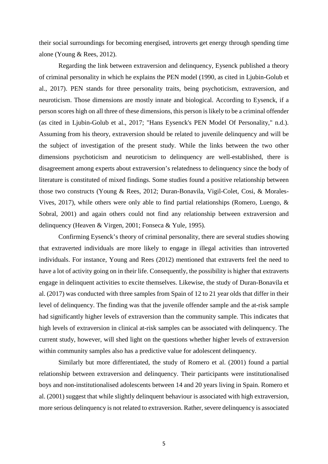their social surroundings for becoming energised, introverts get energy through spending time alone (Young & Rees, 2012).

Regarding the link between extraversion and delinquency, Eysenck published a theory of criminal personality in which he explains the PEN model (1990, as cited in Ljubin-Golub et al., 2017). PEN stands for three personality traits, being psychoticism, extraversion, and neuroticism. Those dimensions are mostly innate and biological. According to Eysenck, if a person scores high on all three of these dimensions, this person is likely to be a criminal offender (as cited in Ljubin-Golub et al., 2017; "Hans Eysenck's PEN Model Of Personality," n.d.). Assuming from his theory, extraversion should be related to juvenile delinquency and will be the subject of investigation of the present study. While the links between the two other dimensions psychoticism and neuroticism to delinquency are well-established, there is disagreement among experts about extraversion's relatedness to delinquency since the body of literature is constituted of mixed findings. Some studies found a positive relationship between those two constructs (Young & Rees, 2012; Duran-Bonavila, Vigil-Colet, Cosi, & Morales-Vives, 2017), while others were only able to find partial relationships (Romero, Luengo, & Sobral, 2001) and again others could not find any relationship between extraversion and delinquency (Heaven & Virgen, 2001; Fonseca & Yule, 1995).

Confirming Eysenck's theory of criminal personality, there are several studies showing that extraverted individuals are more likely to engage in illegal activities than introverted individuals. For instance, Young and Rees (2012) mentioned that extraverts feel the need to have a lot of activity going on in their life. Consequently, the possibility is higher that extraverts engage in delinquent activities to excite themselves. Likewise, the study of Duran-Bonavila et al. (2017) was conducted with three samples from Spain of 12 to 21 year olds that differ in their level of delinquency. The finding was that the juvenile offender sample and the at-risk sample had significantly higher levels of extraversion than the community sample. This indicates that high levels of extraversion in clinical at-risk samples can be associated with delinquency. The current study, however, will shed light on the questions whether higher levels of extraversion within community samples also has a predictive value for adolescent delinquency.

Similarly but more differentiated, the study of Romero et al. (2001) found a partial relationship between extraversion and delinquency. Their participants were institutionalised boys and non-institutionalised adolescents between 14 and 20 years living in Spain. Romero et al. (2001) suggest that while slightly delinquent behaviour is associated with high extraversion, more serious delinquency is not related to extraversion. Rather, severe delinquency is associated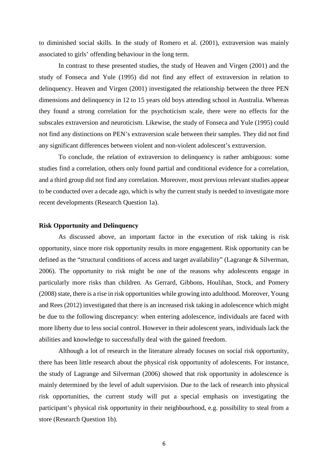to diminished social skills. In the study of Romero et al. (2001), extraversion was mainly associated to girls' offending behaviour in the long term.

In contrast to these presented studies, the study of Heaven and Virgen (2001) and the study of Fonseca and Yule (1995) did not find any effect of extraversion in relation to delinquency. Heaven and Virgen (2001) investigated the relationship between the three PEN dimensions and delinquency in 12 to 15 years old boys attending school in Australia. Whereas they found a strong correlation for the psychoticism scale, there were no effects for the subscales extraversion and neuroticism. Likewise, the study of Fonseca and Yule (1995) could not find any distinctions on PEN's extraversion scale between their samples. They did not find any significant differences between violent and non-violent adolescent's extraversion.

To conclude, the relation of extraversion to delinquency is rather ambiguous: some studies find a correlation, others only found partial and conditional evidence for a correlation, and a third group did not find any correlation. Moreover, most previous relevant studies appear to be conducted over a decade ago, which is why the current study is needed to investigate more recent developments (Research Question 1a).

# **Risk Opportunity and Delinquency**

As discussed above, an important factor in the execution of risk taking is risk opportunity, since more risk opportunity results in more engagement. Risk opportunity can be defined as the "structural conditions of access and target availability" (Lagrange & Silverman, 2006). The opportunity to risk might be one of the reasons why adolescents engage in particularly more risks than children. As Gerrard, Gibbons, Houlihan, Stock, and Pomery (2008) state, there is a rise in risk opportunities while growing into adulthood. Moreover, Young and Rees (2012) investigated that there is an increased risk taking in adolescence which might be due to the following discrepancy: when entering adolescence, individuals are faced with more liberty due to less social control. However in their adolescent years, individuals lack the abilities and knowledge to successfully deal with the gained freedom.

Although a lot of research in the literature already focuses on social risk opportunity, there has been little research about the physical risk opportunity of adolescents. For instance, the study of Lagrange and Silverman (2006) showed that risk opportunity in adolescence is mainly determined by the level of adult supervision. Due to the lack of research into physical risk opportunities, the current study will put a special emphasis on investigating the participant's physical risk opportunity in their neighbourhood, e.g. possibility to steal from a store (Research Question 1b).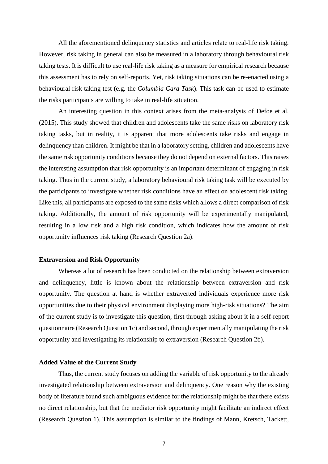All the aforementioned delinquency statistics and articles relate to real-life risk taking. However, risk taking in general can also be measured in a laboratory through behavioural risk taking tests. It is difficult to use real-life risk taking as a measure for empirical research because this assessment has to rely on self-reports. Yet, risk taking situations can be re-enacted using a behavioural risk taking test (e.g. the *Columbia Card Task*). This task can be used to estimate the risks participants are willing to take in real-life situation.

An interesting question in this context arises from the meta-analysis of Defoe et al. (2015). This study showed that children and adolescents take the same risks on laboratory risk taking tasks, but in reality, it is apparent that more adolescents take risks and engage in delinquency than children. It might be that in a laboratory setting, children and adolescents have the same risk opportunity conditions because they do not depend on external factors. This raises the interesting assumption that risk opportunity is an important determinant of engaging in risk taking. Thus in the current study, a laboratory behavioural risk taking task will be executed by the participants to investigate whether risk conditions have an effect on adolescent risk taking. Like this, all participants are exposed to the same risks which allows a direct comparison of risk taking. Additionally, the amount of risk opportunity will be experimentally manipulated, resulting in a low risk and a high risk condition, which indicates how the amount of risk opportunity influences risk taking (Research Question 2a).

### **Extraversion and Risk Opportunity**

Whereas a lot of research has been conducted on the relationship between extraversion and delinquency, little is known about the relationship between extraversion and risk opportunity. The question at hand is whether extraverted individuals experience more risk opportunities due to their physical environment displaying more high-risk situations? The aim of the current study is to investigate this question, first through asking about it in a self-report questionnaire (Research Question 1c) and second, through experimentally manipulating the risk opportunity and investigating its relationship to extraversion (Research Question 2b).

#### **Added Value of the Current Study**

Thus, the current study focuses on adding the variable of risk opportunity to the already investigated relationship between extraversion and delinquency. One reason why the existing body of literature found such ambiguous evidence for the relationship might be that there exists no direct relationship, but that the mediator risk opportunity might facilitate an indirect effect (Research Question 1). This assumption is similar to the findings of Mann, Kretsch, Tackett,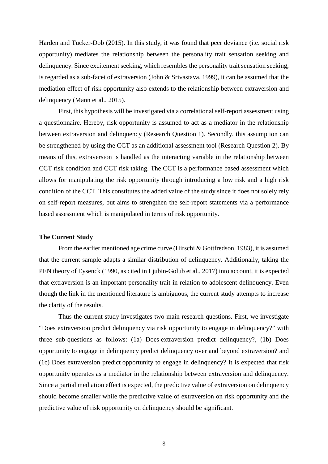Harden and Tucker-Dob (2015). In this study, it was found that peer deviance (i.e. social risk opportunity) mediates the relationship between the personality trait sensation seeking and delinquency. Since excitement seeking, which resembles the personality trait sensation seeking, is regarded as a sub-facet of extraversion (John & Srivastava, 1999), it can be assumed that the mediation effect of risk opportunity also extends to the relationship between extraversion and delinquency (Mann et al., 2015).

First, this hypothesis will be investigated via a correlational self-report assessment using a questionnaire. Hereby, risk opportunity is assumed to act as a mediator in the relationship between extraversion and delinquency (Research Question 1). Secondly, this assumption can be strengthened by using the CCT as an additional assessment tool (Research Question 2). By means of this, extraversion is handled as the interacting variable in the relationship between CCT risk condition and CCT risk taking. The CCT is a performance based assessment which allows for manipulating the risk opportunity through introducing a low risk and a high risk condition of the CCT. This constitutes the added value of the study since it does not solely rely on self-report measures, but aims to strengthen the self-report statements via a performance based assessment which is manipulated in terms of risk opportunity.

## **The Current Study**

From the earlier mentioned age crime curve (Hirschi & Gottfredson, 1983), it is assumed that the current sample adapts a similar distribution of delinquency. Additionally, taking the PEN theory of Eysenck (1990, as cited in Ljubin-Golub et al., 2017) into account, it is expected that extraversion is an important personality trait in relation to adolescent delinquency. Even though the link in the mentioned literature is ambiguous, the current study attempts to increase the clarity of the results.

Thus the current study investigates two main research questions. First, we investigate "Does extraversion predict delinquency via risk opportunity to engage in delinquency?" with three sub-questions as follows: (1a) Does extraversion predict delinquency?, (1b) Does opportunity to engage in delinquency predict delinquency over and beyond extraversion? and (1c) Does extraversion predict opportunity to engage in delinquency? It is expected that risk opportunity operates as a mediator in the relationship between extraversion and delinquency. Since a partial mediation effect is expected, the predictive value of extraversion on delinquency should become smaller while the predictive value of extraversion on risk opportunity and the predictive value of risk opportunity on delinquency should be significant.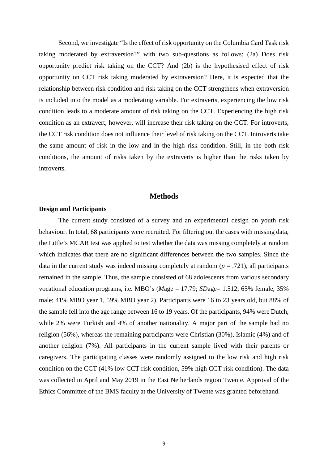Second, we investigate "Is the effect of risk opportunity on the Columbia Card Task risk taking moderated by extraversion?" with two sub-questions as follows: (2a) Does risk opportunity predict risk taking on the CCT? And (2b) is the hypothesised effect of risk opportunity on CCT risk taking moderated by extraversion? Here, it is expected that the relationship between risk condition and risk taking on the CCT strengthens when extraversion is included into the model as a moderating variable. For extraverts, experiencing the low risk condition leads to a moderate amount of risk taking on the CCT. Experiencing the high risk condition as an extravert, however, will increase their risk taking on the CCT. For introverts, the CCT risk condition does not influence their level of risk taking on the CCT. Introverts take the same amount of risk in the low and in the high risk condition. Still, in the both risk conditions, the amount of risks taken by the extraverts is higher than the risks taken by introverts.

# **Methods**

## **Design and Participants**

The current study consisted of a survey and an experimental design on youth risk behaviour. In total, 68 participants were recruited. For filtering out the cases with missing data, the Little's MCAR test was applied to test whether the data was missing completely at random which indicates that there are no significant differences between the two samples. Since the data in the current study was indeed missing completely at random  $(p = .721)$ , all participants remained in the sample. Thus, the sample consisted of 68 adolescents from various secondary vocational education programs, i.e. MBO's (*Mage* = 17.79; *SDage* = 1.512; 65% female, 35% male; 41% MBO year 1, 59% MBO year 2). Participants were 16 to 23 years old, but 88% of the sample fell into the age range between 16 to 19 years. Of the participants, 94% were Dutch, while 2% were Turkish and 4% of another nationality. A major part of the sample had no religion (56%), whereas the remaining participants were Christian (30%), Islamic (4%) and of another religion (7%). All participants in the current sample lived with their parents or caregivers. The participating classes were randomly assigned to the low risk and high risk condition on the CCT (41% low CCT risk condition, 59% high CCT risk condition). The data was collected in April and May 2019 in the East Netherlands region Twente. Approval of the Ethics Committee of the BMS faculty at the University of Twente was granted beforehand.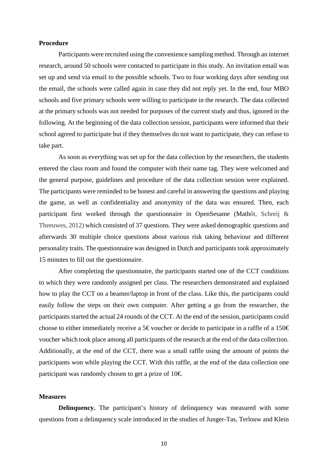# **Procedure**

Participants were recruited using the convenience sampling method. Through an internet research, around 50 schools were contacted to participate in this study. An invitation email was set up and send via email to the possible schools. Two to four working days after sending out the email, the schools were called again in case they did not reply yet. In the end, four MBO schools and five primary schools were willing to participate in the research. The data collected at the primary schools was not needed for purposes of the current study and thus, ignored in the following. At the beginning of the data collection session, participants were informed that their school agreed to participate but if they themselves do not want to participate, they can refuse to take part.

As soon as everything was set up for the data collection by the researchers, the students entered the class room and found the computer with their name tag. They were welcomed and the general purpose, guidelines and procedure of the data collection session were explained. The participants were reminded to be honest and careful in answering the questions and playing the game, as well as confidentiality and anonymity of the data was ensured. Then, each participant first worked through the questionnaire in OpenSesame (Mathôt, Schreij & Theeuwes, 2012) which consisted of 37 questions. They were asked demographic questions and afterwards 30 multiple choice questions about various risk taking behaviour and different personality traits. The questionnaire was designed in Dutch and participants took approximately 15 minutes to fill out the questionnaire.

After completing the questionnaire, the participants started one of the CCT conditions to which they were randomly assigned per class. The researchers demonstrated and explained how to play the CCT on a beamer/laptop in front of the class. Like this, the participants could easily follow the steps on their own computer. After getting a go from the researcher, the participants started the actual 24 rounds of the CCT. At the end of the session, participants could choose to either immediately receive a 5 € voucher or decide to participate in a raffle of a 150 € voucher which took place among all participants of the research at the end of the data collection. Additionally, at the end of the CCT, there was a small raffle using the amount of points the participants won while playing the CCT. With this raffle, at the end of the data collection one participant was randomly chosen to get a prize of  $10 \in$ .

# **Measures**

**Delinquency.** The participant's history of delinquency was measured with some questions from a delinquency scale introduced in the studies of Junger-Tas, Terlouw and Klein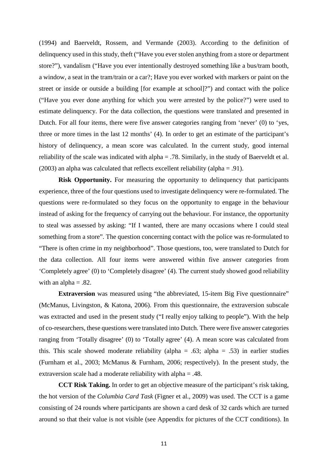(1994) and Baerveldt, Rossem, and Vermande (2003). According to the definition of delinquency used in this study, theft ("Have you ever stolen anything from a store or department store?"), vandalism ("Have you ever intentionally destroyed something like a bus/tram booth, a window, a seat in the tram/train or a car?; Have you ever worked with markers or paint on the street or inside or outside a building [for example at school]?") and contact with the police ("Have you ever done anything for which you were arrested by the police?") were used to estimate delinquency. For the data collection, the questions were translated and presented in Dutch. For all four items, there were five answer categories ranging from 'never' (0) to 'yes, three or more times in the last 12 months' (4). In order to get an estimate of the participant's history of delinquency, a mean score was calculated. In the current study, good internal reliability of the scale was indicated with alpha = .78. Similarly, in the study of Baerveldt et al. (2003) an alpha was calculated that reflects excellent reliability (alpha = .91).

**Risk Opportunity.** For measuring the opportunity to delinquency that participants experience, three of the four questions used to investigate delinquency were re-formulated. The questions were re-formulated so they focus on the opportunity to engage in the behaviour instead of asking for the frequency of carrying out the behaviour. For instance, the opportunity to steal was assessed by asking: "If I wanted, there are many occasions where I could steal something from a store". The question concerning contact with the police was re-formulated to "There is often crime in my neighborhood". Those questions, too, were translated to Dutch for the data collection. All four items were answered within five answer categories from 'Completely agree' (0) to 'Completely disagree' (4). The current study showed good reliability with an alpha  $= .82$ .

**Extraversion** was measured using "the abbreviated, 15-item Big Five questionnaire" (McManus, Livingston, & Katona, 2006). From this questionnaire, the extraversion subscale was extracted and used in the present study ("I really enjoy talking to people"). With the help of co-researchers, these questions were translated into Dutch. There were five answer categories ranging from 'Totally disagree' (0) to 'Totally agree' (4). A mean score was calculated from this. This scale showed moderate reliability (alpha = .63; alpha = .53) in earlier studies (Furnham et al., 2003; McManus & Furnham, 2006; respectively). In the present study, the extraversion scale had a moderate reliability with alpha = .48.

**CCT Risk Taking.** In order to get an objective measure of the participant's risk taking, the hot version of the *Columbia Card Task* (Figner et al., 2009) was used. The CCT is a game consisting of 24 rounds where participants are shown a card desk of 32 cards which are turned around so that their value is not visible (see Appendix for pictures of the CCT conditions). In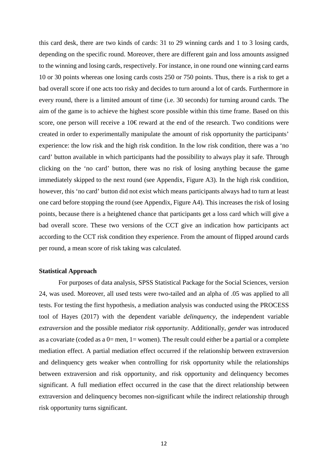this card desk, there are two kinds of cards: 31 to 29 winning cards and 1 to 3 losing cards, depending on the specific round. Moreover, there are different gain and loss amounts assigned to the winning and losing cards, respectively. For instance, in one round one winning card earns 10 or 30 points whereas one losing cards costs 250 or 750 points. Thus, there is a risk to get a bad overall score if one acts too risky and decides to turn around a lot of cards. Furthermore in every round, there is a limited amount of time (i.e. 30 seconds) for turning around cards. The aim of the game is to achieve the highest score possible within this time frame. Based on this score, one person will receive a 10€ reward at the end of the research. Two conditions were created in order to experimentally manipulate the amount of risk opportunity the participants' experience: the low risk and the high risk condition. In the low risk condition, there was a 'no card' button available in which participants had the possibility to always play it safe. Through clicking on the 'no card' button, there was no risk of losing anything because the game immediately skipped to the next round (see Appendix, Figure A3). In the high risk condition, however, this 'no card' button did not exist which means participants always had to turn at least one card before stopping the round (see Appendix, Figure A4). This increases the risk of losing points, because there is a heightened chance that participants get a loss card which will give a bad overall score. These two versions of the CCT give an indication how participants act according to the CCT risk condition they experience. From the amount of flipped around cards per round, a mean score of risk taking was calculated.

# **Statistical Approach**

For purposes of data analysis, SPSS Statistical Package for the Social Sciences, version 24, was used. Moreover, all used tests were two-tailed and an alpha of .05 was applied to all tests. For testing the first hypothesis, a mediation analysis was conducted using the PROCESS tool of Hayes (2017) with the dependent variable *delinquency*, the independent variable *extraversion* and the possible mediator *risk opportunity*. Additionally, *gender* was introduced as a covariate (coded as a  $0=$  men,  $1=$  women). The result could either be a partial or a complete mediation effect. A partial mediation effect occurred if the relationship between extraversion and delinquency gets weaker when controlling for risk opportunity while the relationships between extraversion and risk opportunity, and risk opportunity and delinquency becomes significant. A full mediation effect occurred in the case that the direct relationship between extraversion and delinquency becomes non-significant while the indirect relationship through risk opportunity turns significant.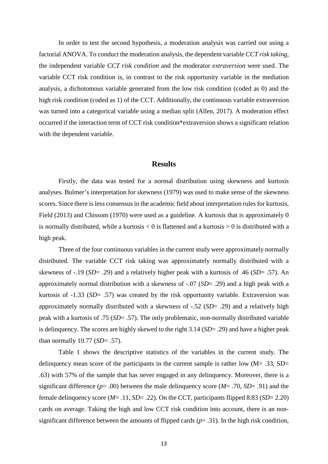In order to test the second hypothesis, a moderation analysis was carried out using a factorial ANOVA. To conduct the moderation analysis, the dependent variable *CCT risk taking*, the independent variable *CCT risk condition* and the moderator *extraversion* were used. The variable CCT risk condition is, in contrast to the risk opportunity variable in the mediation analysis, a dichotomous variable generated from the low risk condition (coded as 0) and the high risk condition (coded as 1) of the CCT. Additionally, the continuous variable extraversion was turned into a categorical variable using a median split (Allen, 2017). A moderation effect occurred if the interaction term of CCT risk condition\*extraversion shows a significant relation with the dependent variable.

# **Results**

Firstly, the data was tested for a normal distribution using skewness and kurtosis analyses. Bulmer's interpretation for skewness (1979) was used to make sense of the skewness scores. Since there is less consensus in the academic field about interpretation rules for kurtosis, Field (2013) and Chissom (1970) were used as a guideline. A kurtosis that is approximately 0 is normally distributed, while a kurtosis  $< 0$  is flattened and a kurtosis  $> 0$  is distributed with a high peak.

Three of the four continuous variables in the current study were approximately normally distributed. The variable CCT risk taking was approximately normally distributed with a skewness of -.19 (*SD*= .29) and a relatively higher peak with a kurtosis of .46 (*SD*= .57). An approximately normal distribution with a skewness of -.07 (*SD*= .29) and a high peak with a kurtosis of -1.33 (*SD*= .57) was created by the risk opportunity variable. Extraversion was approximately normally distributed with a skewness of -.52 (*SD*= .29) and a relatively high peak with a kurtosis of .75 (*SD*= .57). The only problematic, non-normally distributed variable is delinquency. The scores are highly skewed to the right 3.14 (*SD*= .29) and have a higher peak than normally 10.77 (*SD*= .57).

Table 1 shows the descriptive statistics of the variables in the current study. The delinquency mean score of the participants in the current sample is rather low  $(M= .33, SD=$ .63) with 57% of the sample that has never engaged in any delinquency. Moreover, there is a significant difference (*p*= .00) between the male delinquency score (*M*= .70, *SD*= .91) and the female delinquency score (*M*= .11, *SD*= .22). On the CCT, participants flipped 8.83 (*SD*= 2.20) cards on average. Taking the high and low CCT risk condition into account, there is an nonsignificant difference between the amounts of flipped cards  $(p= .31)$ . In the high risk condition,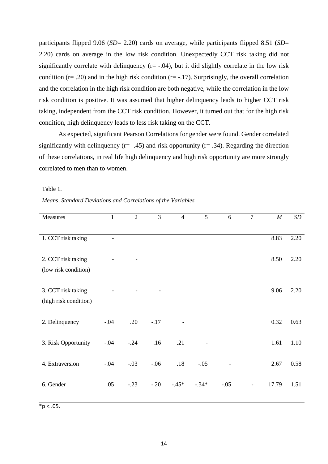participants flipped 9.06 (*SD*= 2.20) cards on average, while participants flipped 8.51 (*SD*= 2.20) cards on average in the low risk condition. Unexpectedly CCT risk taking did not significantly correlate with delinquency  $(r=-.04)$ , but it did slightly correlate in the low risk condition ( $r = .20$ ) and in the high risk condition ( $r = -.17$ ). Surprisingly, the overall correlation and the correlation in the high risk condition are both negative, while the correlation in the low risk condition is positive. It was assumed that higher delinquency leads to higher CCT risk taking, independent from the CCT risk condition. However, it turned out that for the high risk condition, high delinquency leads to less risk taking on the CCT.

As expected, significant Pearson Correlations for gender were found. Gender correlated significantly with delinquency ( $r = -0.45$ ) and risk opportunity ( $r = 0.34$ ). Regarding the direction of these correlations, in real life high delinquency and high risk opportunity are more strongly correlated to men than to women.

#### Table 1.

#### *Means, Standard Deviations and Correlations of the Variables*

| Measures              | 1              | $\overline{2}$ | 3      | $\overline{4}$ | 5       | 6      | $\tau$                   | $\boldsymbol{M}$ | SD   |
|-----------------------|----------------|----------------|--------|----------------|---------|--------|--------------------------|------------------|------|
|                       |                |                |        |                |         |        |                          |                  |      |
| 1. CCT risk taking    | $\overline{a}$ |                |        |                |         |        |                          | 8.83             | 2.20 |
|                       |                |                |        |                |         |        |                          |                  |      |
| 2. CCT risk taking    |                |                |        |                |         |        |                          | 8.50             | 2.20 |
| (low risk condition)  |                |                |        |                |         |        |                          |                  |      |
|                       |                |                |        |                |         |        |                          |                  |      |
| 3. CCT risk taking    |                |                |        |                |         |        |                          | 9.06             | 2.20 |
| (high risk condition) |                |                |        |                |         |        |                          |                  |      |
|                       |                |                |        |                |         |        |                          |                  |      |
| 2. Delinquency        | $-.04$         | .20            | $-.17$ |                |         |        |                          | 0.32             | 0.63 |
|                       |                |                |        |                |         |        |                          |                  |      |
| 3. Risk Opportunity   | $-.04$         | $-.24$         | .16    | .21            |         |        |                          | 1.61             | 1.10 |
|                       |                |                |        |                |         |        |                          |                  |      |
| 4. Extraversion       | $-.04$         | $-.03$         | $-.06$ | .18            | $-.05$  |        |                          | 2.67             | 0.58 |
|                       |                |                |        |                |         |        |                          |                  |      |
| 6. Gender             | .05            | $-.23$         | $-20$  | $-45*$         | $-.34*$ | $-.05$ | $\overline{\phantom{a}}$ | 17.79            | 1.51 |
|                       |                |                |        |                |         |        |                          |                  |      |

 $*p < .05$ .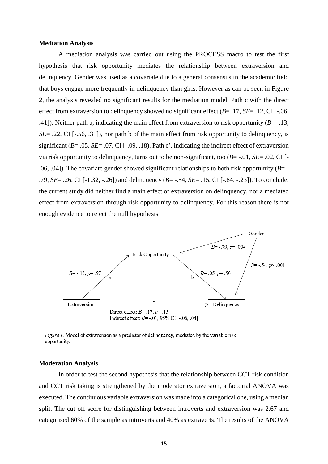#### **Mediation Analysis**

A mediation analysis was carried out using the PROCESS macro to test the first hypothesis that risk opportunity mediates the relationship between extraversion and delinquency. Gender was used as a covariate due to a general consensus in the academic field that boys engage more frequently in delinquency than girls. However as can be seen in Figure 2, the analysis revealed no significant results for the mediation model. Path c with the direct effect from extraversion to delinquency showed no significant effect (*B*= .17, *SE*= .12, CI [-.06, .41]). Neither path a, indicating the main effect from extraversion to risk opportunity (*B*= -.13, *SE*= .22, CI [-.56, .31]), nor path b of the main effect from risk opportunity to delinquency, is significant (*B*= .05, *SE*= .07, CI [-.09, .18). Path c', indicating the indirect effect of extraversion via risk opportunity to delinquency, turns out to be non-significant, too (*B*= -.01, *SE*= .02, CI [- .06, .04]). The covariate gender showed significant relationships to both risk opportunity  $(B=$  -.79, *SE*= .26, CI [-1.32, -.26]) and delinquency (*B*= -.54, *SE*= .15, CI [-.84, -.23]). To conclude, the current study did neither find a main effect of extraversion on delinquency, nor a mediated effect from extraversion through risk opportunity to delinquency. For this reason there is not enough evidence to reject the null hypothesis



Figure 1. Model of extraversion as a predictor of delinquency, mediated by the variable risk opportunity.

## **Moderation Analysis**

In order to test the second hypothesis that the relationship between CCT risk condition and CCT risk taking is strengthened by the moderator extraversion, a factorial ANOVA was executed. The continuous variable extraversion was made into a categorical one, using a median split. The cut off score for distinguishing between introverts and extraversion was 2.67 and categorised 60% of the sample as introverts and 40% as extraverts. The results of the ANOVA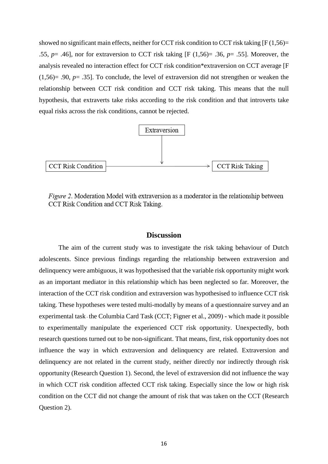showed no significant main effects, neither for CCT risk condition to CCT risk taking  $[F(1,56) =$ .55, *p*= .46], nor for extraversion to CCT risk taking [F (1,56)= .36, *p*= .55]. Moreover, the analysis revealed no interaction effect for CCT risk condition\*extraversion on CCT average [F (1,56)= .90, *p*= .35]. To conclude, the level of extraversion did not strengthen or weaken the relationship between CCT risk condition and CCT risk taking. This means that the null hypothesis, that extraverts take risks according to the risk condition and that introverts take equal risks across the risk conditions, cannot be rejected.



*Figure 2.* Moderation Model with extraversion as a moderator in the relationship between CCT Risk Condition and CCT Risk Taking.

# **Discussion**

The aim of the current study was to investigate the risk taking behaviour of Dutch adolescents. Since previous findings regarding the relationship between extraversion and delinquency were ambiguous, it was hypothesised that the variable risk opportunity might work as an important mediator in this relationship which has been neglected so far. Moreover, the interaction of the CCT risk condition and extraversion was hypothesised to influence CCT risk taking. These hypotheses were tested multi-modally by means of a questionnaire survey and an experimental task - the Columbia Card Task (CCT; Figner et al., 2009) - which made it possible to experimentally manipulate the experienced CCT risk opportunity. Unexpectedly, both research questions turned out to be non-significant. That means, first, risk opportunity does not influence the way in which extraversion and delinquency are related. Extraversion and delinquency are not related in the current study, neither directly nor indirectly through risk opportunity (Research Question 1). Second, the level of extraversion did not influence the way in which CCT risk condition affected CCT risk taking. Especially since the low or high risk condition on the CCT did not change the amount of risk that was taken on the CCT (Research Question 2).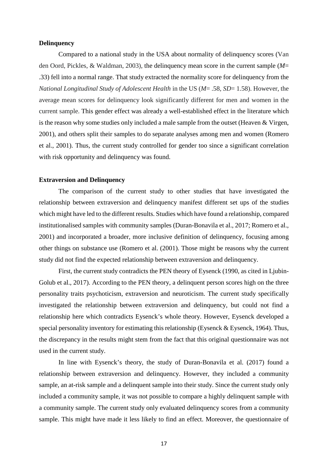# **Delinquency**

Compared to a national study in the USA about normality of delinquency scores (Van den Oord, Pickles, & Waldman, 2003), the delinquency mean score in the current sample (*M*= .33) fell into a normal range. That study extracted the normality score for delinquency from the *National Longitudinal Study of Adolescent Health* in the US (*M*= .58, *SD*= 1.58). However, the average mean scores for delinquency look significantly different for men and women in the current sample. This gender effect was already a well-established effect in the literature which is the reason why some studies only included a male sample from the outset (Heaven & Virgen, 2001), and others split their samples to do separate analyses among men and women (Romero et al., 2001). Thus, the current study controlled for gender too since a significant correlation with risk opportunity and delinquency was found.

# **Extraversion and Delinquency**

The comparison of the current study to other studies that have investigated the relationship between extraversion and delinquency manifest different set ups of the studies which might have led to the different results. Studies which have found a relationship, compared institutionalised samples with community samples (Duran-Bonavila et al., 2017; Romero et al., 2001) and incorporated a broader, more inclusive definition of delinquency, focusing among other things on substance use (Romero et al. (2001). Those might be reasons why the current study did not find the expected relationship between extraversion and delinquency.

First, the current study contradicts the PEN theory of Eysenck (1990, as cited in Ljubin-Golub et al., 2017). According to the PEN theory, a delinquent person scores high on the three personality traits psychoticism, extraversion and neuroticism. The current study specifically investigated the relationship between extraversion and delinquency, but could not find a relationship here which contradicts Eysenck's whole theory. However, Eysenck developed a special personality inventory for estimating this relationship (Eysenck & Eysenck, 1964). Thus, the discrepancy in the results might stem from the fact that this original questionnaire was not used in the current study.

In line with Eysenck's theory, the study of Duran-Bonavila et al. (2017) found a relationship between extraversion and delinquency. However, they included a community sample, an at-risk sample and a delinquent sample into their study. Since the current study only included a community sample, it was not possible to compare a highly delinquent sample with a community sample. The current study only evaluated delinquency scores from a community sample. This might have made it less likely to find an effect. Moreover, the questionnaire of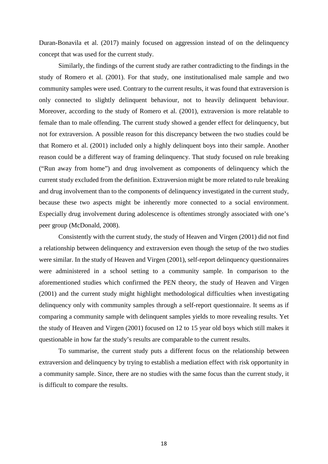Duran-Bonavila et al. (2017) mainly focused on aggression instead of on the delinquency concept that was used for the current study.

Similarly, the findings of the current study are rather contradicting to the findings in the study of Romero et al. (2001). For that study, one institutionalised male sample and two community samples were used. Contrary to the current results, it was found that extraversion is only connected to slightly delinquent behaviour, not to heavily delinquent behaviour. Moreover, according to the study of Romero et al. (2001), extraversion is more relatable to female than to male offending. The current study showed a gender effect for delinquency, but not for extraversion. A possible reason for this discrepancy between the two studies could be that Romero et al. (2001) included only a highly delinquent boys into their sample. Another reason could be a different way of framing delinquency. That study focused on rule breaking ("Run away from home") and drug involvement as components of delinquency which the current study excluded from the definition. Extraversion might be more related to rule breaking and drug involvement than to the components of delinquency investigated in the current study, because these two aspects might be inherently more connected to a social environment. Especially drug involvement during adolescence is oftentimes strongly associated with one's peer group (McDonald, 2008).

Consistently with the current study, the study of Heaven and Virgen (2001) did not find a relationship between delinquency and extraversion even though the setup of the two studies were similar. In the study of Heaven and Virgen (2001), self-report delinquency questionnaires were administered in a school setting to a community sample. In comparison to the aforementioned studies which confirmed the PEN theory, the study of Heaven and Virgen (2001) and the current study might highlight methodological difficulties when investigating delinquency only with community samples through a self-report questionnaire. It seems as if comparing a community sample with delinquent samples yields to more revealing results. Yet the study of Heaven and Virgen (2001) focused on 12 to 15 year old boys which still makes it questionable in how far the study's results are comparable to the current results.

To summarise, the current study puts a different focus on the relationship between extraversion and delinquency by trying to establish a mediation effect with risk opportunity in a community sample. Since, there are no studies with the same focus than the current study, it is difficult to compare the results.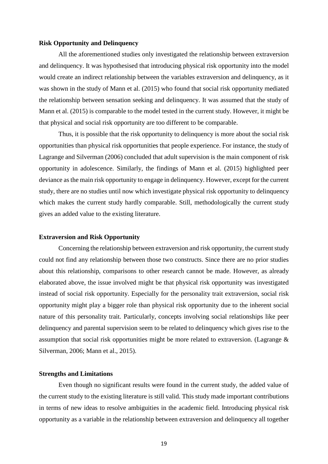## **Risk Opportunity and Delinquency**

All the aforementioned studies only investigated the relationship between extraversion and delinquency. It was hypothesised that introducing physical risk opportunity into the model would create an indirect relationship between the variables extraversion and delinquency, as it was shown in the study of Mann et al. (2015) who found that social risk opportunity mediated the relationship between sensation seeking and delinquency. It was assumed that the study of Mann et al. (2015) is comparable to the model tested in the current study. However, it might be that physical and social risk opportunity are too different to be comparable.

Thus, it is possible that the risk opportunity to delinquency is more about the social risk opportunities than physical risk opportunities that people experience. For instance, the study of Lagrange and Silverman (2006) concluded that adult supervision is the main component of risk opportunity in adolescence. Similarly, the findings of Mann et al. (2015) highlighted peer deviance as the main risk opportunity to engage in delinquency. However, except for the current study, there are no studies until now which investigate physical risk opportunity to delinquency which makes the current study hardly comparable. Still, methodologically the current study gives an added value to the existing literature.

#### **Extraversion and Risk Opportunity**

Concerning the relationship between extraversion and risk opportunity, the current study could not find any relationship between those two constructs. Since there are no prior studies about this relationship, comparisons to other research cannot be made. However, as already elaborated above, the issue involved might be that physical risk opportunity was investigated instead of social risk opportunity. Especially for the personality trait extraversion, social risk opportunity might play a bigger role than physical risk opportunity due to the inherent social nature of this personality trait. Particularly, concepts involving social relationships like peer delinquency and parental supervision seem to be related to delinquency which gives rise to the assumption that social risk opportunities might be more related to extraversion. (Lagrange & Silverman, 2006; Mann et al., 2015).

#### **Strengths and Limitations**

Even though no significant results were found in the current study, the added value of the current study to the existing literature is still valid. This study made important contributions in terms of new ideas to resolve ambiguities in the academic field. Introducing physical risk opportunity as a variable in the relationship between extraversion and delinquency all together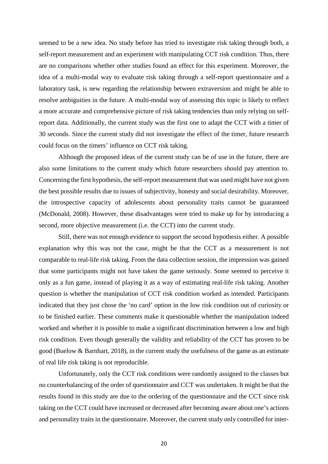seemed to be a new idea. No study before has tried to investigate risk taking through both, a self-report measurement and an experiment with manipulating CCT risk condition. Thus, there are no comparisons whether other studies found an effect for this experiment. Moreover, the idea of a multi-modal way to evaluate risk taking through a self-report questionnaire and a laboratory task, is new regarding the relationship between extraversion and might be able to resolve ambiguities in the future. A multi-modal way of assessing this topic is likely to reflect a more accurate and comprehensive picture of risk taking tendencies than only relying on selfreport data. Additionally, the current study was the first one to adapt the CCT with a timer of 30 seconds. Since the current study did not investigate the effect of the timer, future research could focus on the timers' influence on CCT risk taking.

Although the proposed ideas of the current study can be of use in the future, there are also some limitations to the current study which future researchers should pay attention to. Concerning the first hypothesis, the self-report measurement that was used might have not given the best possible results due to issues of subjectivity, honesty and social desirability. Moreover, the introspective capacity of adolescents about personality traits cannot be guaranteed (McDonald, 2008). However, these disadvantages were tried to make up for by introducing a second, more objective measurement (i.e. the CCT) into the current study.

Still, there was not enough evidence to support the second hypothesis either. A possible explanation why this was not the case, might be that the CCT as a measurement is not comparable to real-life risk taking. From the data collection session, the impression was gained that some participants might not have taken the game seriously. Some seemed to perceive it only as a fun game, instead of playing it as a way of estimating real-life risk taking. Another question is whether the manipulation of CCT risk condition worked as intended. Participants indicated that they just chose the 'no card' option in the low risk condition out of curiosity or to be finished earlier. These comments make it questionable whether the manipulation indeed worked and whether it is possible to make a significant discrimination between a low and high risk condition. Even though generally the validity and reliability of the CCT has proven to be good [\(Buelow](javascript:;) & [Barnhart,](javascript:;) 2018), in the current study the usefulness of the game as an estimate of real life risk taking is not reproducible.

Unfortunately, only the CCT risk conditions were randomly assigned to the classes but no counterbalancing of the order of questionnaire and CCT was undertaken. It might be that the results found in this study are due to the ordering of the questionnaire and the CCT since risk taking on the CCT could have increased or decreased after becoming aware about one's actions and personality traits in the questionnaire. Moreover, the current study only controlled for inter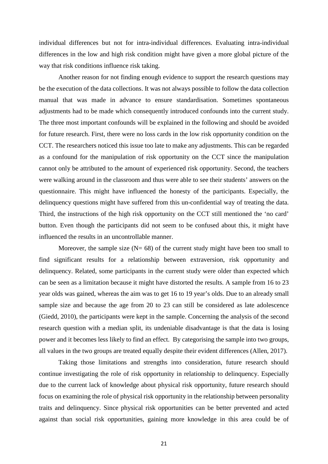individual differences but not for intra-individual differences. Evaluating intra-individual differences in the low and high risk condition might have given a more global picture of the way that risk conditions influence risk taking.

Another reason for not finding enough evidence to support the research questions may be the execution of the data collections. It was not always possible to follow the data collection manual that was made in advance to ensure standardisation. Sometimes spontaneous adjustments had to be made which consequently introduced confounds into the current study. The three most important confounds will be explained in the following and should be avoided for future research. First, there were no loss cards in the low risk opportunity condition on the CCT. The researchers noticed this issue too late to make any adjustments. This can be regarded as a confound for the manipulation of risk opportunity on the CCT since the manipulation cannot only be attributed to the amount of experienced risk opportunity. Second, the teachers were walking around in the classroom and thus were able to see their students' answers on the questionnaire. This might have influenced the honesty of the participants. Especially, the delinquency questions might have suffered from this un-confidential way of treating the data. Third, the instructions of the high risk opportunity on the CCT still mentioned the 'no card' button. Even though the participants did not seem to be confused about this, it might have influenced the results in an uncontrollable manner.

Moreover, the sample size  $(N= 68)$  of the current study might have been too small to find significant results for a relationship between extraversion, risk opportunity and delinquency. Related, some participants in the current study were older than expected which can be seen as a limitation because it might have distorted the results. A sample from 16 to 23 year olds was gained, whereas the aim was to get 16 to 19 year's olds. Due to an already small sample size and because the age from 20 to 23 can still be considered as late adolescence (Giedd, 2010), the participants were kept in the sample. Concerning the analysis of the second research question with a median split, its undeniable disadvantage is that the data is losing power and it becomes less likely to find an effect. By categorising the sample into two groups, all values in the two groups are treated equally despite their evident differences (Allen, 2017).

Taking those limitations and strengths into consideration, future research should continue investigating the role of risk opportunity in relationship to delinquency. Especially due to the current lack of knowledge about physical risk opportunity, future research should focus on examining the role of physical risk opportunity in the relationship between personality traits and delinquency. Since physical risk opportunities can be better prevented and acted against than social risk opportunities, gaining more knowledge in this area could be of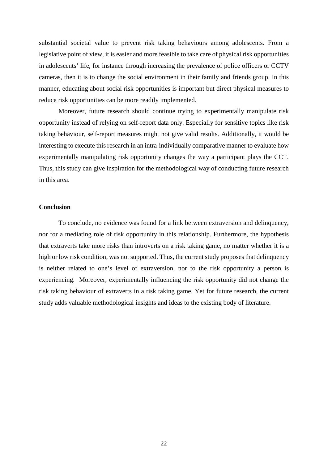substantial societal value to prevent risk taking behaviours among adolescents. From a legislative point of view, it is easier and more feasible to take care of physical risk opportunities in adolescents' life, for instance through increasing the prevalence of police officers or CCTV cameras, then it is to change the social environment in their family and friends group. In this manner, educating about social risk opportunities is important but direct physical measures to reduce risk opportunities can be more readily implemented.

Moreover, future research should continue trying to experimentally manipulate risk opportunity instead of relying on self-report data only. Especially for sensitive topics like risk taking behaviour, self-report measures might not give valid results. Additionally, it would be interesting to execute this research in an intra-individually comparative manner to evaluate how experimentally manipulating risk opportunity changes the way a participant plays the CCT. Thus, this study can give inspiration for the methodological way of conducting future research in this area.

## **Conclusion**

To conclude, no evidence was found for a link between extraversion and delinquency, nor for a mediating role of risk opportunity in this relationship. Furthermore, the hypothesis that extraverts take more risks than introverts on a risk taking game, no matter whether it is a high or low risk condition, was not supported. Thus, the current study proposes that delinquency is neither related to one's level of extraversion, nor to the risk opportunity a person is experiencing. Moreover, experimentally influencing the risk opportunity did not change the risk taking behaviour of extraverts in a risk taking game. Yet for future research, the current study adds valuable methodological insights and ideas to the existing body of literature.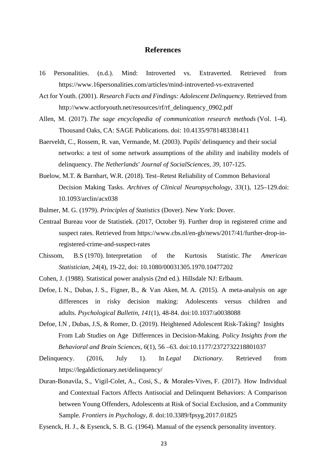# **References**

- 16 Personalities. (n.d.). Mind: Introverted vs. Extraverted. Retrieved from <https://www.16personalities.com/articles/mind-introverted-vs-extraverted>
- Act for Youth. (2001). *Research Facts and Findings: Adolescent Delinquency*. Retrieved from [http://www.actforyouth.net/resources/rf/rf\\_delinquency\\_0902.pdf](http://www.actforyouth.net/resources/rf/rf_delinquency_0902.pdf)
- Allen, M. (2017). *The sage encyclopedia of communication research methods* (Vol. 1-4). Thousand Oaks, CA: SAGE Publications. doi: 10.4135/9781483381411
- Baerveldt, C., Rossem, R. van, Vermande, M. (2003). Pupils' delinquency and their social networks: a test of some network assumptions of the ability and inability models of delinquency. *The Netherlands' Journal of SocialSciences, 39*, 107-125.
- [Buelow,](javascript:;) M.T. & [Barnhart,](javascript:;) W.R. (2018). Test–Retest Reliability of Common Behavioral Decision Making Tasks. *Archives of Clinical Neuropsychology*, *33*(1), 125–129.doi: [10.1093/arclin/acx038](https://doi.org/10.1093/arclin/acx038)
- Bulmer, M. G. (1979). *Principles of Statistics* (Dover). New York: Dover.
- Centraal Bureau voor de Statistiek. (2017, October 9). Further drop in registered crime and suspect rates. Retrieved from [https://www.cbs.nl/en-gb/news/2017/41/further-drop-in](https://www.cbs.nl/en-gb/news/2017/41/further-drop-in-registered-crime-and-suspect-rates)[registered-crime-and-suspect-rates](https://www.cbs.nl/en-gb/news/2017/41/further-drop-in-registered-crime-and-suspect-rates)
- Chissom, B.S (1970). Interpretation of the Kurtosis Statistic. *The American Statistician, 24*(4), 19-22, doi: [10.1080/00031305.1970.10477202](https://doi.org/10.1080/00031305.1970.10477202)
- Cohen, J. (1988). Statistical power analysis (2nd ed.). Hillsdale NJ: Erlbaum.
- Defoe, I. N., Dubas, J. S., Figner, B., & Van Aken, M. A. (2015). A meta-analysis on age differences in risky decision making: Adolescents versus children and adults. *Psychological Bulletin*, *141*(1), 48-84. doi:10.1037/a0038088
- Defoe, I.N , Dubas, J.S, & Romer, D. (2019). Heightened Adolescent Risk-Taking? Insights From Lab Studies on Age Differences in Decision-Making. *Policy Insights from the Behavioral and Brain Sciences, 6*(1), 56 –63. doi:10.1177/2372732218801037
- Delinquency. (2016, July 1). In *Legal Dictionary*. Retrieved from https://legaldictionary.net/delinquency/
- Duran-Bonavila, S., Vigil-Colet, A., Cosi, S., & Morales-Vives, F. (2017). How Individual and Contextual Factors Affects Antisocial and Delinquent Behaviors: A Comparison between Young Offenders, Adolescents at Risk of Social Exclusion, and a Community Sample. *Frontiers in Psychology*, *8*. doi:10.3389/fpsyg.2017.01825
- Eysenck, H. J., & Eysenck, S. B. G. (1964). Manual of the eysenck personality inventory.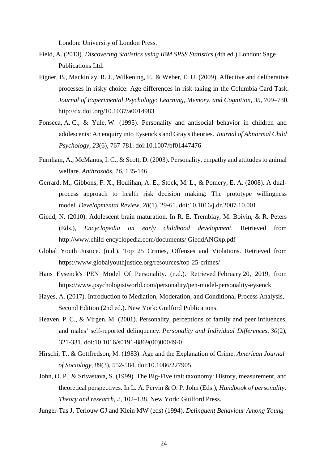London: University of London Press.

- Field, A. (2013). *Discovering Statistics using IBM SPSS Statistics* (4th ed.) London: Sage Publications Ltd.
- Figner, B., Mackinlay, R. J., Wilkening, F., & Weber, E. U. (2009). Affective and deliberative processes in risky choice: Age differences in risk-taking in the Columbia Card Task. *Journal of Experimental Psychology: Learning, Memory, and Cognition, 35*, 709–730. http://dx.doi .org/10.1037/a0014983
- Fonseca, A. C., & Yule, W. (1995). Personality and antisocial behavior in children and adolescents: An enquiry into Eysenck's and Gray's theories. *Journal of Abnormal Child Psychology*, *23*(6), 767-781. doi:10.1007/bf01447476
- Furnham, A., McManus, I. C., & Scott, D. (2003). Personality, empathy and attitudes to animal welfare. *Anthrozoös, 16*, 135-146.
- Gerrard, M., Gibbons, F. X., Houlihan, A. E., Stock, M. L., & Pomery, E. A. (2008). A dualprocess approach to health risk decision making: The prototype willingness model. *Developmental Review*, *28*(1), 29-61. doi:10.1016/j.dr.2007.10.001
- Giedd, N. (2010). Adolescent brain maturation. In R. E. Tremblay, M. Boivin, & R. Peters (Eds.), *Encyclopedia on early childhood development*. Retrieved from http://www.child-encyclopedia.com/documents/ GieddANGxp.pdf
- Global Youth Justice. (n.d.). Top 25 Crimes, Offenses and Violations. Retrieved from https://www.globalyouthjustice.org/resources/top-25-crimes/
- Hans Eysenck's PEN Model Of Personality. (n.d.). Retrieved February 20, 2019, from <https://www.psychologistworld.com/personality/pen-model-personality-eysenck>
- Hayes, A. (2017). Introduction to Mediation, Moderation, and Conditional Process Analysis, Second Edition (2nd ed.). New York: Guilford Publications.
- Heaven, P. C., & Virgen, M. (2001). Personality, perceptions of family and peer influences, and males' self-reported delinquency. *Personality and Individual Differences*, *30*(2), 321-331. doi:10.1016/s0191-8869(00)00049-0
- Hirschi, T., & Gottfredson, M. (1983). Age and the Explanation of Crime. *American Journal of Sociology, 89*(3), 552-584. doi:10.1086/227905
- John, O. P., & Srivastava, S. (1999). The Big-Five trait taxonomy: History, measurement, and theoretical perspectives. In L. A. Pervin & O. P. John (Eds.), *Handbook of personality: Theory and research, 2*, 102–138. New York: Guilford Press.
- Junger-Tas J, Terlouw GJ and Klein MW (eds) (1994). *Delinquent Behaviour Among Young*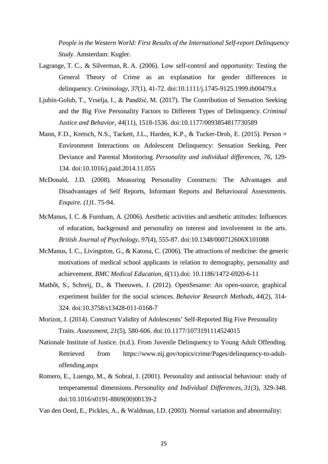*People in the Western World: First Results of the International Self-report Delinquency Study*. Amsterdam: Kugler.

- Lagrange, T. C., & Silverman, R. A. (2006). Low self-control and opportunity: Testing the General Theory of Crime as an explanation for gender differences in delinquency. *Criminology*, *37*(1), 41-72. doi:10.1111/j.1745-9125.1999.tb00479.x
- Ljubin-Golub, T., Vrselja, I., & Pandžić, M. (2017). The Contribution of Sensation Seeking and the Big Five Personality Factors to Different Types of Delinquency. *Criminal Justice and Behavior*, *44*(11), 1518-1536. doi:10.1177/0093854817730589
- Mann, F.D., Kretsch, N.S., Tackett, J.L., Harden, K.P., & Tucker-Drob, E. (2015). Person  $\times$ Environment Interactions on Adolescent Delinquency: Sensation Seeking, Peer Deviance and Parental Monitoring. *Personality and individual differences, 76*, 129- 134. doi[:10.1016/j.paid.2014.11.055](https://doi.org/10.1016/j.paid.2014.11.055)
- McDonald, J.D. (2008). Measuring Personality Constructs: The Advantages and Disadvantages of Self Reports, Informant Reports and Behavioural Assessments. *Enquire. (1)*1. 75-94.
- McManus, I. C. & Furnham, A. (2006). Aesthetic activities and aesthetic attitudes: Influences of education, background and personality on interest and involvement in the arts. *British Journal of Psychology, 97*(4), 555-87. doi[:10.1348/000712606X101088](https://doi.org/10.1348/000712606X101088)
- McManus, I. C., Livingston, G., & Katona, C. (2006). The attractions of medicine: the generic motivations of medical school applicants in relation to demography, personality and achievement. *BMC Medical Education, 6*(11).doi: [10.1186/1472-6920-6-11](https://doi.org/10.1186/1472-6920-6-11)
- Mathôt, S., Schreij, D., & Theeuwes, J. (2012). OpenSesame: An open-source, graphical experiment builder for the social sciences. *Behavior Research Methods*, *44*(2), 314- 324. [doi:10.3758/s13428-011-0168-7](http://dx.doi.org/10.3758/s13428-011-0168-7)
- Morizot, J. (2014). Construct Validity of Adolescents' Self-Reported Big Five Personality Traits. *Assessment, 21*(5), 580-606. doi:10.1177/1073191114524015
- Nationale Institute of Justice. (n.d.). From Juvenile Delinquency to Young Adult Offending. Retrieved from https://www.nij.gov/topics/crime/Pages/delinquency-to-adultoffending.aspx
- Romero, E., Luengo, M., & Sobral, J. (2001). Personality and antisocial behaviour: study of temperamental dimensions. *Personality and Individual Differences*, *31*(3), 329-348. doi:10.1016/s0191-8869(00)00139-2

Van den Oord, E., Pickles, A., & Waldman, I.D. (2003). Normal variation and abnormality: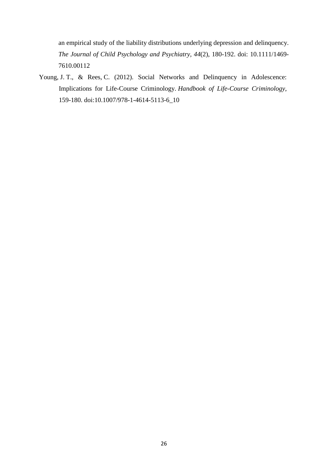an empirical study of the liability distributions underlying depression and delinquency. *The Journal of Child Psychology and Psychiatry, 44*(2), 180-192. doi: [10.1111/1469-](https://doi.org/10.1111/1469-7610.00112) [7610.00112](https://doi.org/10.1111/1469-7610.00112)

Young, J. T., & Rees, C. (2012). Social Networks and Delinquency in Adolescence: Implications for Life-Course Criminology. *Handbook of Life-Course Criminology*, 159-180. doi:10.1007/978-1-4614-5113-6\_10